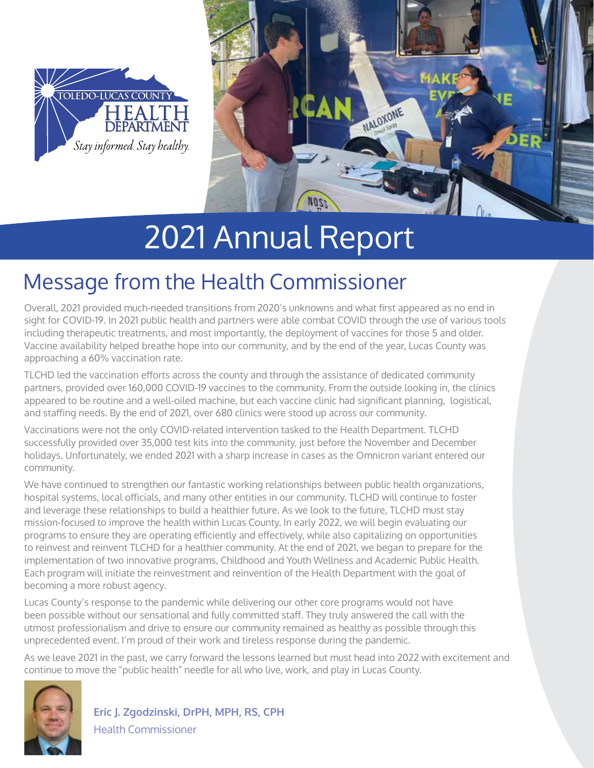



# 2021 Annual Report

# Message from the Health Commissioner

Overall, 2021 provided much-needed transitions from 2020's unknowns and what first appeared as no end in sight for COVID-19. In 2021 public health and partners were able combat COVID through the use of various tools including therapeutic treatments, and most importantly, the deployment of vaccines for those 5 and older. Vaccine availability helped breathe hope into our community, and by the end of the year, Lucas County was approaching a 60% vaccination rate.

TLCHD led the vaccination efforts across the county and through the assistance of dedicated community partners, provided over 160,000 COVID-19 vaccines to the community. From the outside looking in, the clinics appeared to be routine and a well-oiled machine, but each vaccine clinic had significant planning, logistical, and staffing needs. By the end of 2021, over 680 clinics were stood up across our community.

Vaccinations were not the only COVID-related intervention tasked to the Health Department. TLCHD successfully provided over 35,000 test kits into the community, just before the November and December holidays. Unfortunately, we ended 2021 with a sharp increase in cases as the Omnicron variant entered our community.

We have continued to strengthen our fantastic working relationships between public health organizations, hospital systems, local officials, and many other entities in our community. TLCHD will continue to foster and leverage these relationships to build a healthier future. As we look to the future, TLCHD must stay mission-focused to improve the health within Lucas County. In early 2022, we will begin evaluating our programs to ensure they are operating efficiently and effectively, while also capitalizing on opportunities to reinvest and reinvent TLCHD for a healthier community. At the end of 2021, we began to prepare for the implementation of two innovative programs, Childhood and Youth Wellness and Academic Public Health. Each program will initiate the reinvestment and reinvention of the Health Department with the goal of becoming a more robust agency.

Lucas County's response to the pandemic while delivering our other core programs would not have been possible without our sensational and fully committed staff. They truly answered the call with the utmost professionalism and drive to ensure our community remained as healthy as possible through this unprecedented event. I'm proud of their work and tireless response during the pandemic.

As we leave 2021 in the past, we carry forward the lessons learned but must head into 2022 with excitement and continue to move the "public health" needle for all who live, work, and play in Lucas County.



**Eric J. Zgodzinski, DrPH, MPH, RS, CPH** Health Commissioner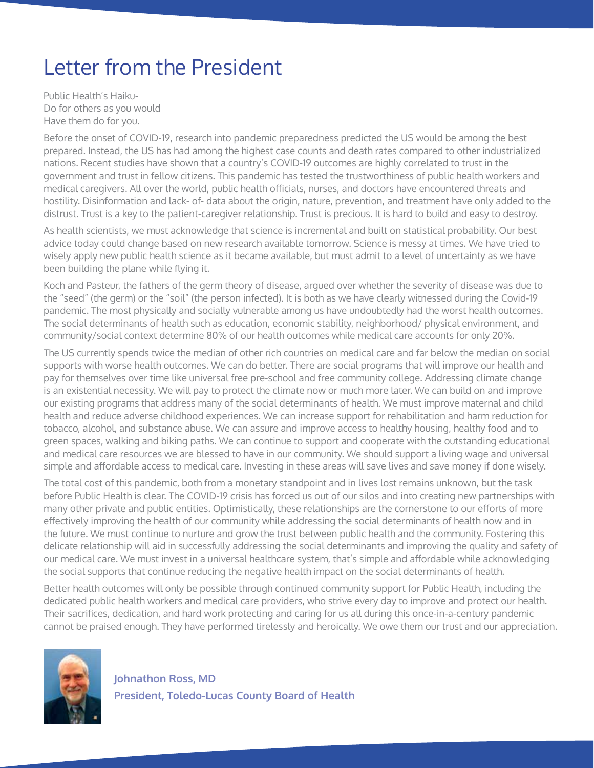# Letter from the President

Public Health's Haiku-Do for others as you would Have them do for you.

Before the onset of COVID-19, research into pandemic preparedness predicted the US would be among the best prepared. Instead, the US has had among the highest case counts and death rates compared to other industrialized nations. Recent studies have shown that a country's COVID-19 outcomes are highly correlated to trust in the government and trust in fellow citizens. This pandemic has tested the trustworthiness of public health workers and medical caregivers. All over the world, public health officials, nurses, and doctors have encountered threats and hostility. Disinformation and lack- of- data about the origin, nature, prevention, and treatment have only added to the distrust. Trust is a key to the patient-caregiver relationship. Trust is precious. It is hard to build and easy to destroy.

As health scientists, we must acknowledge that science is incremental and built on statistical probability. Our best advice today could change based on new research available tomorrow. Science is messy at times. We have tried to wisely apply new public health science as it became available, but must admit to a level of uncertainty as we have been building the plane while flying it.

Koch and Pasteur, the fathers of the germ theory of disease, argued over whether the severity of disease was due to the "seed" (the germ) or the "soil" (the person infected). It is both as we have clearly witnessed during the Covid-19 pandemic. The most physically and socially vulnerable among us have undoubtedly had the worst health outcomes. The social determinants of health such as education, economic stability, neighborhood/ physical environment, and community/social context determine 80% of our health outcomes while medical care accounts for only 20%.

The US currently spends twice the median of other rich countries on medical care and far below the median on social supports with worse health outcomes. We can do better. There are social programs that will improve our health and pay for themselves over time like universal free pre-school and free community college. Addressing climate change is an existential necessity. We will pay to protect the climate now or much more later. We can build on and improve our existing programs that address many of the social determinants of health. We must improve maternal and child health and reduce adverse childhood experiences. We can increase support for rehabilitation and harm reduction for tobacco, alcohol, and substance abuse. We can assure and improve access to healthy housing, healthy food and to green spaces, walking and biking paths. We can continue to support and cooperate with the outstanding educational and medical care resources we are blessed to have in our community. We should support a living wage and universal simple and affordable access to medical care. Investing in these areas will save lives and save money if done wisely.

The total cost of this pandemic, both from a monetary standpoint and in lives lost remains unknown, but the task before Public Health is clear. The COVID-19 crisis has forced us out of our silos and into creating new partnerships with many other private and public entities. Optimistically, these relationships are the cornerstone to our efforts of more effectively improving the health of our community while addressing the social determinants of health now and in the future. We must continue to nurture and grow the trust between public health and the community. Fostering this delicate relationship will aid in successfully addressing the social determinants and improving the quality and safety of our medical care. We must invest in a universal healthcare system, that's simple and affordable while acknowledging the social supports that continue reducing the negative health impact on the social determinants of health.

Better health outcomes will only be possible through continued community support for Public Health, including the dedicated public health workers and medical care providers, who strive every day to improve and protect our health. Their sacrifices, dedication, and hard work protecting and caring for us all during this once-in-a-century pandemic cannot be praised enough. They have performed tirelessly and heroically. We owe them our trust and our appreciation.

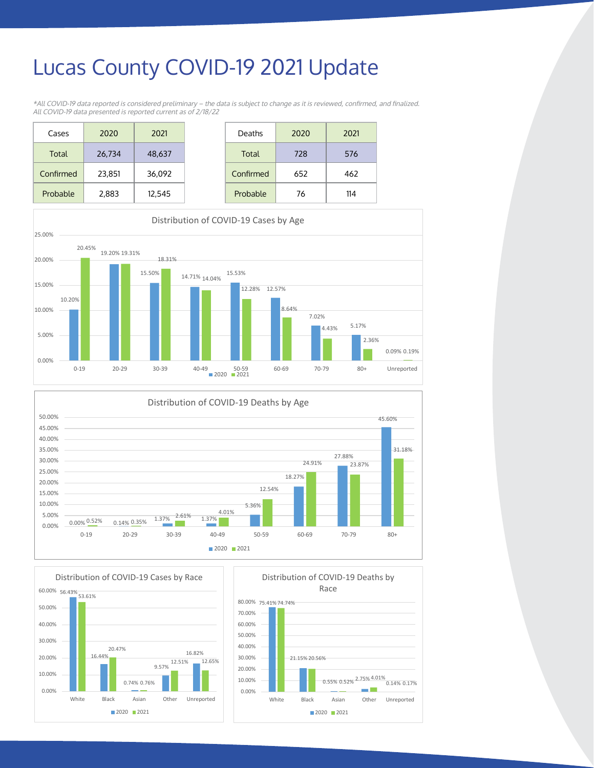### **Lucas County COVID-19 2021 Update \*All COVID-19 data reported is considered preliminary – the data is subject to change as it is reviewed, confirmed, and finalized.**

\*All COVID-19 data reported is considered preliminary – the data is subject to change as it is reviewed, confirmed, and finalized. All COVID-19 data presented is reported current as of 2/18/22

| Cases     | 2020   | 2021   |
|-----------|--------|--------|
| Total     | 26,734 | 48,637 |
| Confirmed | 23,851 | 36,092 |
| Probable  | 2,883  | 12,545 |







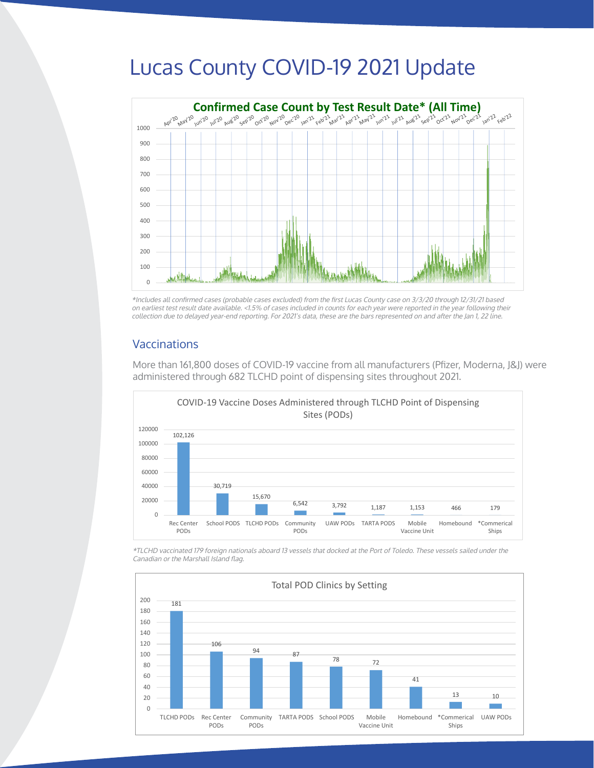### Lucas County COVID-19 2021 Update

4.01%



on earliest test result date available. <1.5% of cases included in counts for each year were reported in the year following their collection due to delayed year-end reporting. For 2021's data, these are the bars represented on and after the Jan 1, 22 line. \*Includes all confirmed cases (probable cases excluded) from the first Lucas County case on 3/3/20 through 12/31/21 based

### Vaccinations

20.00%

More than 161,800 doses of COVID-19 vaccine from all manufacturers (Pfizer, Moderna, J&J) were administered through 682 TLCHD point of dispensing sites throughout 2021.



\*TLCHD vaccinated 179 foreign nationals aboard 13 vessels that docked at the Port of Toledo. These vessels sailed under the the Canadian or the Marshall Island flag. Canadian or the Marshall Island flag. the Canadian or the Marshall Island flag.

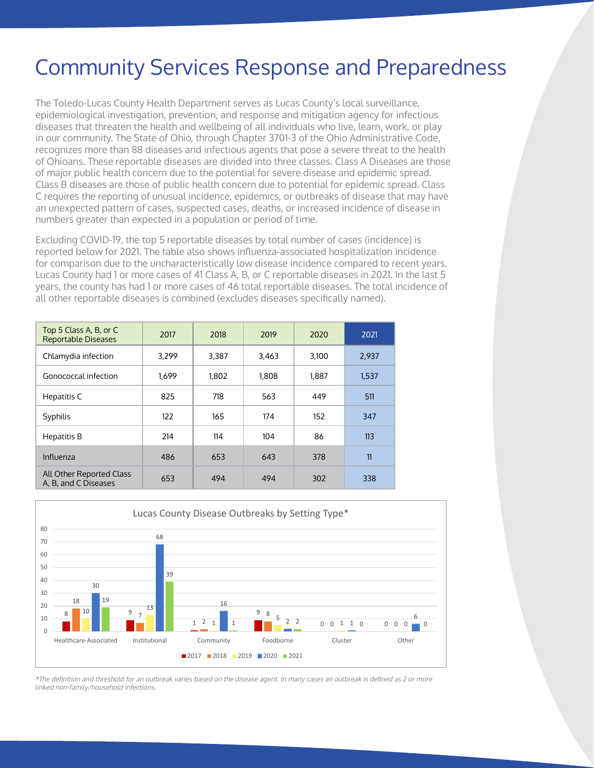## Community Services Response and Preparedness

The Toledo-Lucas County Health Department serves as Lucas County's local surveillance, epidemiological investigation, prevention, and response and mitigation agency for infectious diseases that threaten the health and wellbeing of all individuals who live, learn, work, or play in our community. The State of Ohio, through Chapter 3701-3 of the Ohio Administrative Code, recognizes more than 88 diseases and infectious agents that pose a severe threat to the health of Ohioans. These reportable diseases are divided into three classes. Class A Diseases are those of major public health concern due to the potential for severe disease and epidemic spread. Class B diseases are those of public health concern due to potential for epidemic spread. Class C requires the reporting of unusual incidence, epidemics, or outbreaks of disease that may have an unexpected pattern of cases, suspected cases, deaths, or increased incidence of disease in numbers greater than expected in a population or period of time.

Excluding COVID-19, the top 5 reportable diseases by total number of cases (incidence) is reported below for 2021. The table also shows influenza-associated hospitalization incidence for comparison due to the uncharacteristically low disease incidence compared to recent years. Lucas County had 1 or more cases of 41 Class A, B, or C reportable diseases in 2021. In the last 5 years, the county has had 1 or more cases of 46 total reportable diseases. The total incidence of all other reportable diseases is combined (excludes diseases specifically named).

| Top 5 Class A, B, or C<br><b>Reportable Diseases</b> | 2017  | 2018  | 2019  | 2020  | 2021  |
|------------------------------------------------------|-------|-------|-------|-------|-------|
| Chlamydia infection                                  | 3,299 | 3,387 | 3,463 | 3,100 | 2,937 |
| Gonococcal infection                                 | 1.699 | 1,802 | 1,808 | 1.887 | 1,537 |
| Hepatitis C                                          | 825   | 718   | 563   | 449   | 511   |
| Syphilis                                             | 122   | 165   | 174   | 152   | 347   |
| Hepatitis B                                          | 214   | 114   | 104   | 86    | 113   |
| Influenza                                            | 486   | 653   | 643   | 378   | 11    |
| All Other Reported Class<br>A, B, and C Diseases     | 653   | 494   | 494   | 302   | 338   |



\*The definition and threshold for an outbreak varies based on the disease agent. In many cases an outbreak is defined as 2 or more linked non-family/household infections. 2 or more related non-family/household infections.

The burden of overdose in Lucas County continues to rise, reflecting the same as national trends. According to the CDC,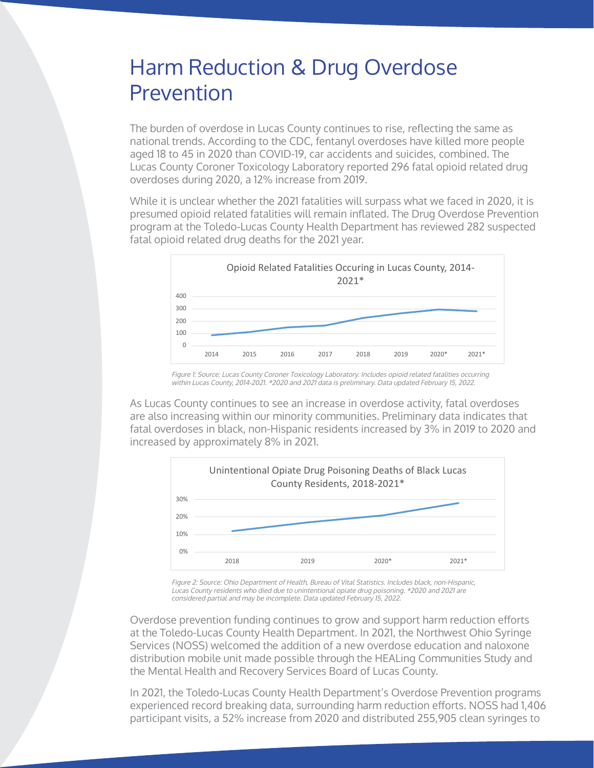### Harm Reduction & Drug Overdose Prevention and threshold for an outbreak varies based on the disease agent. In many cases agents and the disease agent. In many cases agents and the disease agent. In many cases agents and the disease agents and the diseas Prevention

8 9 9 9 9 9 9 9 9 9 9 9 9 9 9 9 10

20

<sup>10</sup> <sup>13</sup>

7

The burden of overdose in Lucas County continues to rise, reflecting the same as **Harm Reduction COVE** national trends. According to the CDC, fentanyl overdoses have killed more people aged 18 to 45 in 2020 than COVID-19, car accidents and suicides, combined. The Lucas County Coroner Toxicology Laboratory reported 296 fatal opioid related drug overdoses during 2020, a 12% increase from 2019. overabbes aon

5

0 0

2 1 1 2 0 0

0 0

1 0

While it is unclear whether the 2021 fatalities will surpass what we faced in 2020, it is presumed opioid related fatalities will remain inflated. The Drug Overdose Prevention program at the Toledo-Lucas County Health Department has reviewed 282 suspected fatal opioid related drug deaths for the 2021 year.



Figure 1: Source: Lucas County Coroner Toxicology Laboratory. Includes opioid related fatalities occurring within Lucas County, 2014-2021. \*2020 and 2021 data is preliminary. Data updated February 15, 2022.

As Lucas County continues to see an increase in overdose activity, fatal overdoses are also increasing within our minority communities. Preliminary data indicates that are also increasing within oor minority commonities. I realitionally data indicates that<br>fatal overdoses in black, non-Hispanic residents increased by 3% in 2019 to 2020 and increased by approximately 8% in 2021.



Figure 2: Source: Ohio Department of Health, Bureau of Vital Statistics. Includes black, non-Hispanic, Lucas County residents who died due to unintentional opiate drug poisoning. \*2020 and 2021 are considered partial and may be incomplete. Data updated February 15, 2022.

Overdose prevention funding continues to grow and support harm reduction efforts at the Toledo-Lucas County Health Department. In 2021, the Northwest Ohio Syringe Services (NOSS) welcomed the addition of a new overdose education and naloxone distribution mobile unit made possible through the HEALing Communities Study and the Mental Health and Recovery Services Board of Lucas County.  $255,905$ clean syringes to participants. Furthermore, there continued to be a significant increase in the amount of amount of  $\alpha$ 

In 2021, the Toledo-Lucas County Health Department's Overdose Prevention programs experienced record breaking data, surrounding harm reduction efforts. NOSS had 1,406 participant visits, a 52% increase from 2020 and distributed 255,905 clean syringes to

> NOSS Statistics, Including # of Fentanyl Test Strips and Naloxone Distributed and Total # of Visits, 2017-2021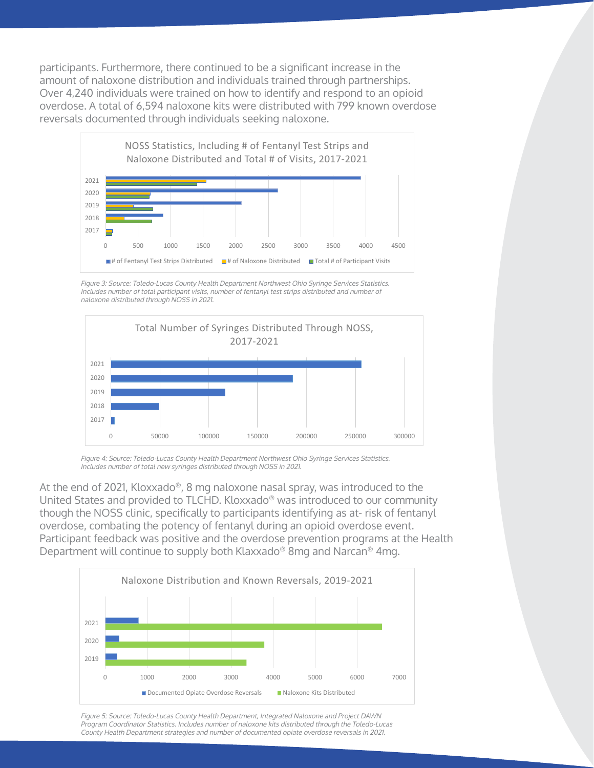participants. Furthermore, there continued to be a significant increase in the amount of naloxone distribution and individuals trained through partnerships. Ennotive trainsmeric and notine the international trained in the agric participants.<br>Over 4,240 individuals were trained on how to identify and respond to an opioid over 4,240 individuals were dialited on how to identify and respond to an opioid<br>overdose. A total of 6,594 naloxone kits were distributed with 799 known overdose reversals documented through individuals seeking naloxone. documented through individuals seeking naloxone. overdose reversals and a distributed a total of 6,594 naloxone kits. Additionally, 799 known overdose reversals were

 $\overline{\mathcal{O}}$  prevention funding continues to grow and support harm reduction efforts at the Toledo-Lucas County Health  $D_{\rm eff}$  2021, the NoSS  $\beta$  Syringe Services (NOSS) were overdose education of a new overdose education of a new over



Figure 3: Source: Toledo-Lucas County Health Department Northwest Ohio Syringe Services Statistics. Includes number of total participant visits, number of fentanyl test strips distributed and number of naloxone distributed through NOSS in 2021.



Figure 4: Source: Toledo-Lucas County Health Department Northwest Ohio Syringe Services Statistics. Includes number of total new syringes distributed through NOSS in 2021.

At the end of 2021, Kloxxado®, 8 mg naloxone nasal spray, was introduced to the Ne the end of 2021, Resmaas T, only hatened tasac spray, was introduced to the United States and provided to TLCHD. Kloxxado® was introduced to our community though the NOSS clinic, specifically to participants identifying as at-risk of fentanyl overdose, combating the potency of fentanyl during an opioid overdose event. Francisco, combating the potency of fentanyl during an opioid overdose compatible in the Health Participant feedback was positive and the overdose prevention programs at the Health Department will continue to supply both Klaxxado® 8mg and Narcan® 4mg. officer states and provided to TECHD. Nuxxado was introduced to our community distributed through NOSS in 2021. Narcan® 4mg.



Figure 5: Source: Toledo-Lucas County Health Department, Integrated Naloxone and Project DAWN Program Coordinator Statistics. Includes number of naloxone kits distributed through the Toledo-Lucas County Health Department strategies and number of documented opiate overdose reversals in 2021.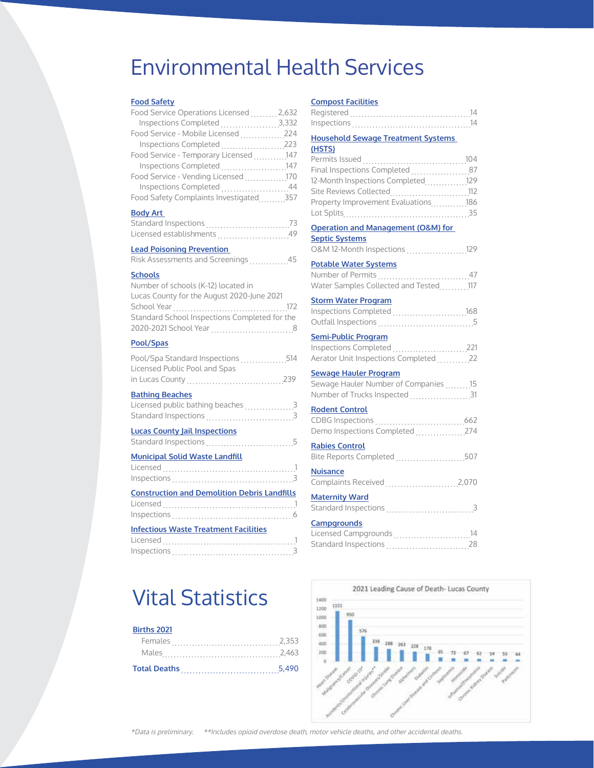### Environmental Health Services

#### **Food Safety**

| Food Service Operations Licensed 2,632 |  |
|----------------------------------------|--|
| Inspections Completed 3,332            |  |
| Food Service - Mobile Licensed 224     |  |
| Inspections Completed 223              |  |
| Food Service - Temporary Licensed 147  |  |
| Inspections Completed 147              |  |
| Food Service - Vending Licensed 170    |  |
| Inspections Completed 44               |  |
| Food Safety Complaints Investigated357 |  |

#### **Body Art**

| Standard Inspections          |  |
|-------------------------------|--|
| Licensed establishments<br>49 |  |

#### **Lead Poisoning Prevention**

| <b>Risk Assessments and Screenings</b> |  |  |  | 45 |
|----------------------------------------|--|--|--|----|
|----------------------------------------|--|--|--|----|

#### **Schools**

| Number of schools (K-12) located in           |
|-----------------------------------------------|
| Lucas County for the August 2020-June 2021    |
|                                               |
| Standard School Inspections Completed for the |
|                                               |
|                                               |

#### **Pool/Spas**

| Pool/Spa Standard Inspections 514                           |                |
|-------------------------------------------------------------|----------------|
| Licensed Public Pool and Spas                               |                |
|                                                             |                |
| <b>Bathing Beaches</b><br>Licensed public bathing beaches 3 |                |
| <b>Lucas County Jail Inspections</b>                        |                |
| <b>Municipal Solid Waste Landfill</b><br>licensed           | $\overline{1}$ |

| Inspections $\ldots \ldots \ldots \ldots \ldots \ldots \ldots \ldots \ldots$ |  |  |  |  |  |  |  |  |  |  |  |  |  |
|------------------------------------------------------------------------------|--|--|--|--|--|--|--|--|--|--|--|--|--|
|                                                                              |  |  |  |  |  |  |  |  |  |  |  |  |  |
| <b>Construction and Demolition Debris Landfills</b>                          |  |  |  |  |  |  |  |  |  |  |  |  |  |

#### Inspections 6 **Infectious Waste Treatment Facilities** Licensed 1

| Inspections |  |  |  |  |  |  |  |  |  |  |  |  |  |  |  |  |  |
|-------------|--|--|--|--|--|--|--|--|--|--|--|--|--|--|--|--|--|
|             |  |  |  |  |  |  |  |  |  |  |  |  |  |  |  |  |  |

## Vital Statistics

#### **Births 2021**

| <b>Total Deaths</b> |  |  |
|---------------------|--|--|
|                     |  |  |
|                     |  |  |

#### **Compost Facilities**

| Reaistered  |  |  |  |  |  |  |  |  |  |  |  |  |  |  |  |
|-------------|--|--|--|--|--|--|--|--|--|--|--|--|--|--|--|
| Inspections |  |  |  |  |  |  |  |  |  |  |  |  |  |  |  |

#### **Household Sewage Treatment Systems**

| (HSTS)                                        |
|-----------------------------------------------|
|                                               |
| Final Inspections Completed  87               |
| 12-Month Inspections Completed129             |
| Site Reviews Collected112                     |
| Property Improvement Evaluations186           |
|                                               |
| <b>Operation and Management (O&amp;M) for</b> |
| <b>Septic Systems</b>                         |
| 0&M 12-Month Inspections  129                 |
| <b>Potable Water Systems</b>                  |
|                                               |
| Water Samples Collected and Tested117         |
| <b>Storm Water Program</b>                    |
| Inspections Completed 168                     |
|                                               |
| <b>Semi-Public Program</b>                    |
| Inspections Completed 221                     |
| Aerator Unit Inspections Completed 22         |
| <b>Sewage Hauler Program</b>                  |
| Sewage Hauler Number of Companies15           |
| Number of Trucks Inspected 31                 |
| <b>Rodent Control</b>                         |
|                                               |
| Demo Inspections Completed 274                |
| <b>Rabies Control</b>                         |
| Bite Reports Completed 507                    |
| <b>Nuisance</b>                               |
| Complaints Received 2,070                     |
| <b>Maternity Ward</b>                         |
|                                               |
| Campgrounds                                   |
| Licensed Campgrounds 14                       |

Standard Inspections 28

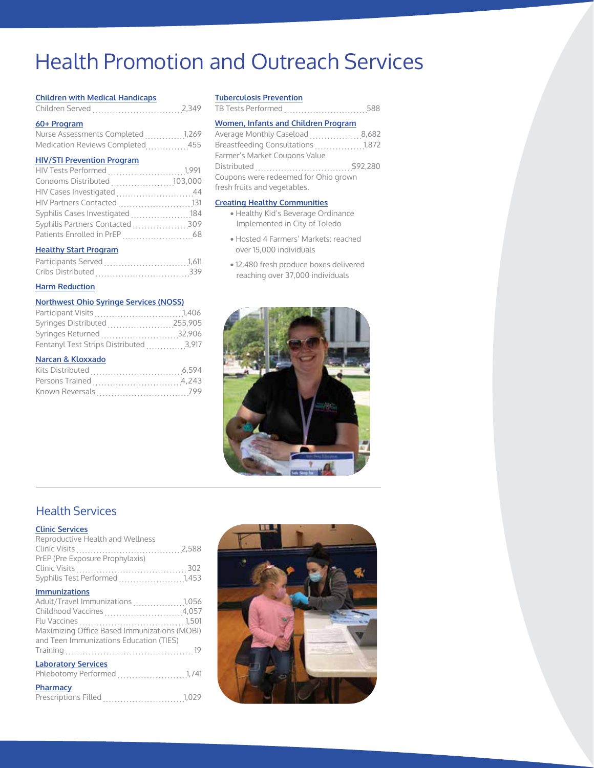## Health Promotion and Outreach Services

#### **Children with Medical Handicaps**

| Children Served |  |  |
|-----------------|--|--|
|-----------------|--|--|

#### **60+ Program**

| Nurse Assessments Completed1,269 |     |
|----------------------------------|-----|
| Medication Reviews Completed47   | 455 |

#### **HIV/STI Prevention Program**

| Condoms Distributed 103,000                         |  |
|-----------------------------------------------------|--|
| HIV Cases Investigated 44                           |  |
| HIV Partners Contacted 131                          |  |
| Syphilis Cases Investigated  184                    |  |
| Syphilis Partners Contacted 309                     |  |
|                                                     |  |
| <b>Literature</b> , <i>Charles Direction</i> (1977) |  |

#### **Healthy Start Program**

| Cribs Distributed | 339 |
|-------------------|-----|

#### **Harm Reduction**

#### **Northwest Ohio Syringe Services (NOSS)**

| Syringes Distributed 255,905           |  |
|----------------------------------------|--|
| Syringes Returned 32,906               |  |
| Fentanyl Test Strips Distributed 3,917 |  |

#### **Narcan & Kloxxado**

#### **Tuberculosis Prevention**

TB Tests Performed ...............................588

#### **Women, Infants and Children Program**

Average Monthly Caseload ...................8,682 Breastfeeding Consultations <sub>.</sub>.................1,872 Farmer's Market Coupons Value Distributed \$92,280 Coupons were redeemed for Ohio grown fresh fruits and vegetables.

#### **Creating Healthy Communities**

- Healthy Kid's Beverage Ordinance Implemented in City of Toledo
- · Hosted 4 Farmers' Markets: reached over 15,000 individuals
- · 12,480 fresh produce boxes delivered reaching over 37,000 individuals



### Health Services

#### **Clinic Services**

| <b>CONNECT AND AND A</b>                     |  |
|----------------------------------------------|--|
| Reproductive Health and Wellness             |  |
|                                              |  |
| PrEP (Pre Exposure Prophylaxis)              |  |
|                                              |  |
| Syphilis Test Performed 1,453                |  |
| <b>Immunizations</b>                         |  |
| Adult/Travel Immunizations  1,056            |  |
| Childhood Vaccines 4,057                     |  |
|                                              |  |
| Maximizing Office Based Immunizations (MOBI) |  |
| and Teen Immunizations Education (TIES)      |  |
|                                              |  |
| <b>Laboratory Services</b>                   |  |
| Phlebotomy Performed 1,741                   |  |
| Pharmacy                                     |  |
|                                              |  |

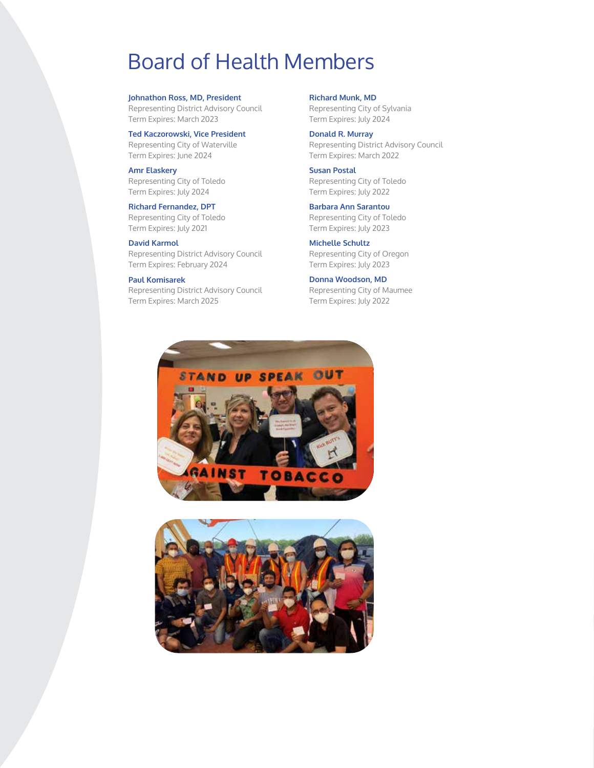### Board of Health Members

**Johnathon Ross, MD, President**

Representing District Advisory Council Term Expires: March 2023

**Ted Kaczorowski, Vice President**

Representing City of Waterville Term Expires: June 2024

**Amr Elaskery** Representing City of Toledo Term Expires: July 2024

#### **Richard Fernandez, DPT**

Representing City of Toledo Term Expires: July 2021

#### **David Karmol**

Representing District Advisory Council Term Expires: February 2024

#### **Paul Komisarek**

Representing District Advisory Council Term Expires: March 2025

**Richard Munk, MD** Representing City of Sylvania Term Expires: July 2024

**Donald R. Murray** Representing District Advisory Council Term Expires: March 2022

**Susan Postal** Representing City of Toledo Term Expires: July 2022

**Barbara Ann Sarantou** Representing City of Toledo Term Expires: July 2023

**Michelle Schultz** Representing City of Oregon Term Expires: July 2023

**Donna Woodson, MD** Representing City of Maumee Term Expires: July 2022



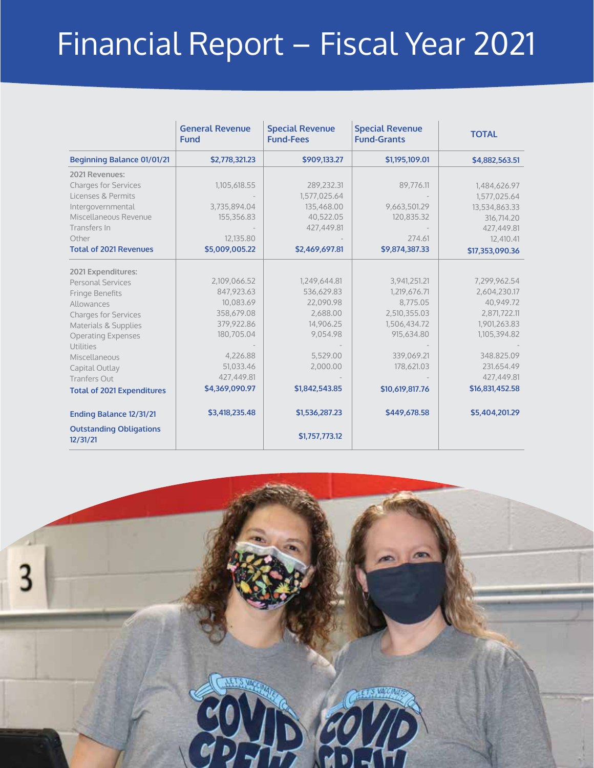# Financial Report – Fiscal Year 2021

|                                            | <b>General Revenue</b><br><b>Fund</b> | <b>Special Revenue</b><br><b>Fund-Fees</b> | <b>Special Revenue</b><br><b>Fund-Grants</b> | <b>TOTAL</b>    |
|--------------------------------------------|---------------------------------------|--------------------------------------------|----------------------------------------------|-----------------|
| Beginning Balance 01/01/21                 | \$2,778,321.23                        | \$909,133.27                               | \$1,195,109.01                               | \$4,882,563.51  |
| 2021 Revenues:                             |                                       |                                            |                                              |                 |
| <b>Charges for Services</b>                | 1,105,618.55                          | 289,232.31                                 | 89,776.11                                    | 1,484,626.97    |
| Licenses & Permits                         |                                       | 1,577,025.64                               |                                              | 1,577,025.64    |
| Intergovernmental                          | 3,735,894.04                          | 135,468.00                                 | 9,663,501.29                                 | 13,534,863.33   |
| Miscellaneous Revenue                      | 155,356.83                            | 40,522.05                                  | 120,835.32                                   | 316,714.20      |
| Transfers In                               |                                       | 427,449.81                                 |                                              | 427,449.81      |
| Other                                      | 12,135.80                             |                                            | 274.61                                       | 12,410.41       |
| <b>Total of 2021 Revenues</b>              | \$5,009,005.22                        | \$2,469,697.81                             | \$9,874,387.33                               | \$17.353.090.36 |
|                                            |                                       |                                            |                                              |                 |
| 2021 Expenditures:                         | 2,109,066.52                          | 1,249,644.81                               | 3,941,251.21                                 | 7,299,962.54    |
| <b>Personal Services</b>                   | 847,923.63                            | 536,629.83                                 | 1,219,676.71                                 | 2,604,230.17    |
| Fringe Benefits                            | 10,083.69                             | 22,090.98                                  | 8,775.05                                     | 40,949.72       |
| Allowances                                 | 358,679.08                            | 2,688.00                                   | 2,510,355.03                                 | 2,871,722.11    |
| <b>Charges for Services</b>                | 379,922.86                            | 14,906.25                                  | 1,506,434.72                                 | 1,901,263.83    |
| Materials & Supplies                       | 180,705.04                            | 9,054.98                                   | 915,634.80                                   | 1,105,394.82    |
| <b>Operating Expenses</b>                  |                                       |                                            |                                              |                 |
| Utilities                                  | 4,226.88                              | 5,529.00                                   | 339,069.21                                   | 348.825.09      |
| Miscellaneous                              | 51,033.46                             | 2,000.00                                   | 178,621.03                                   | 231.654.49      |
| Capital Outlay                             | 427,449.81                            |                                            |                                              | 427,449.81      |
| <b>Tranfers Out</b>                        |                                       |                                            |                                              |                 |
| <b>Total of 2021 Expenditures</b>          | \$4,369,090.97                        | \$1,842,543.85                             | \$10,619,817.76                              | \$16,831,452.58 |
| Ending Balance 12/31/21                    | \$3,418,235.48                        | \$1,536,287.23                             | \$449,678.58                                 | \$5,404,201.29  |
| <b>Outstanding Obligations</b><br>12/31/21 |                                       | \$1,757,773.12                             |                                              |                 |